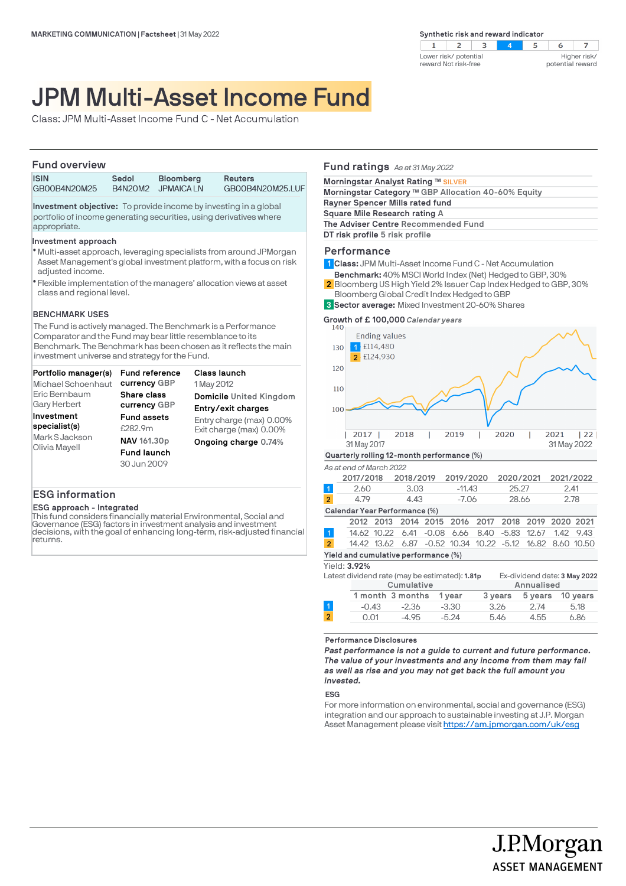

# JPM Multi-Asset Income Fund

Class: JPM Multi-Asset Income Fund C - Net Accumulation

## **Fund overview**

| <b>ISIN</b>                                                             | Sedol          | <b>Bloomberg</b> | <b>Reuters</b>   |  |
|-------------------------------------------------------------------------|----------------|------------------|------------------|--|
| GB00B4N20M25                                                            | <b>B4N20M2</b> | <b>JPMAICALN</b> | GB00B4N20M25.LUF |  |
| <b>Investment objective:</b> To provide income by investing in a global |                |                  |                  |  |

portfolio of income generating securities, using derivatives where appropriate.

## **Investment approach**

- Multi-asset approach, leveraging specialists from around JPMorgan l Asset Management's global investment platform, with a focus on risk adjusted income.
- Flexible implementation of the managers' allocation views at asset l class and regional level.

## **BENCHMARK USES**

The Fund is actively managed. The Benchmark is a Performance Comparator and the Fund may bear little resemblance to its Benchmark. The Benchmark has been chosen as it reflects the main investment universe and strategy for the Fund.

| <b>Fund reference</b> | Class launch             |
|-----------------------|--------------------------|
| currency GBP          | 1 May 2012               |
| Share class           | Domicile United Kingdom  |
| currency GBP          | Entry/exit charges       |
| <b>Fund assets</b>    | Entry charge (max) 0.00% |
| £282.9m               | Exit charge (max) 0.00%  |
| NAV 161.30p           | Ongoing charge 0.74%     |
| <b>Fund launch</b>    |                          |
| 30 Jun 2009           |                          |
|                       |                          |
|                       |                          |

# **ESG information**

**ESG approach - Integrated**

This fund considers financially material Environmental, Social and Governance (ESG) factors in investment analysis and investment decisions, with the goal of enhancing long-term, risk-adjusted financial returns.

## **Fund ratings** *As at 31 May 2022*

| Morningstar Analyst Rating ™ SILVER                 |  |  |
|-----------------------------------------------------|--|--|
| Morningstar Category ™ GBP Allocation 40-60% Equity |  |  |
| Rayner Spencer Mills rated fund                     |  |  |
| Square Mile Research rating A                       |  |  |
| The Adviser Centre Recommended Fund                 |  |  |
| DT risk profile 5 risk profile                      |  |  |
|                                                     |  |  |

# **Performance**

- **Class:** JPM Multi-Asset Income Fund C Net Accumulation **1**
- **Benchmark:** 40% MSCI World Index (Net) Hedged to GBP, 30%
- Bloomberg US High Yield 2% Issuer Cap Index Hedged to GBP, 30% Bloomberg Global Credit Index Hedged to GBP **2**
- **Sector average:** Mixed Investment 20-60% Shares **3**

**Growth of £ 100,000** *Calendar years*



#### **Performance Disclosures**

*Past performance is not a guide to current and future performance. The value of your investments and any income from them may fall as well as rise and you may not get back the full amount you invested.* 

## **ESG**

For more information on environmental, social and governance (ESG) integration and our approach to sustainable investing at J.P. Morgan Asset Management please visit https://am.jpmorgan.com/uk/esg

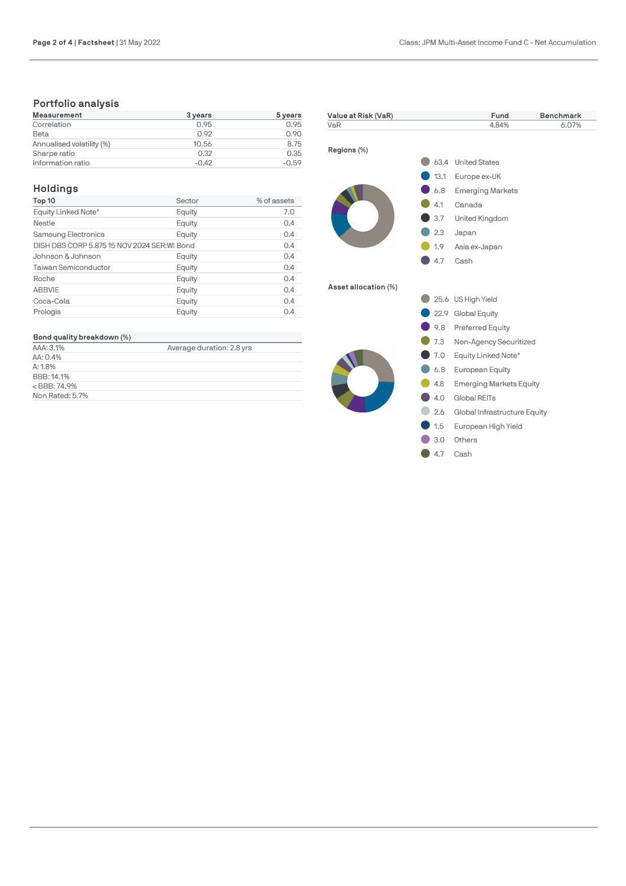# **Portfolio analysis**

| <b>Measurement</b>        | 3 years | 5 years |
|---------------------------|---------|---------|
| Correlation               | 0.95    | 0.95    |
| Beta                      | 0.92    | 0.90    |
| Annualised volatility (%) | 10.56   | 8.75    |
| Sharpe ratio              | 0.32    | 0.35    |
| Information ratio         | $-0.42$ | $-0.59$ |

# **Holdings**

| Top 10                                       | Sector | % of assets |
|----------------------------------------------|--------|-------------|
| Equity Linked Note*                          | Equity | 7.0         |
| Nestle                                       | Equity | 0.4         |
| Samsung Electronics                          | Equity | 0.4         |
| DISH DBS CORP 5.875 15 NOV 2024 SER: WI Bond | 0.4    |             |
| Johnson & Johnson                            | Equity | 0.4         |
| <b>Taiwan Semiconductor</b>                  | Equity | 0.4         |
| Roche                                        | Equity | 0.4         |
| <b>ABBVIE</b>                                | Equity | 0.4         |
| Coca-Cola                                    | Equity | 0.4         |
| Prologis                                     | Equity | 0.4         |

# **Bond quality breakdown (%)**

| AAA: 3.1%       | Average duration: 2.8 yrs |
|-----------------|---------------------------|
| AA: 0.4%        |                           |
| A:1.8%          |                           |
| BBB: 14.1%      |                           |
| $<$ BBB: 74.9%  |                           |
| Non Rated: 5.7% |                           |

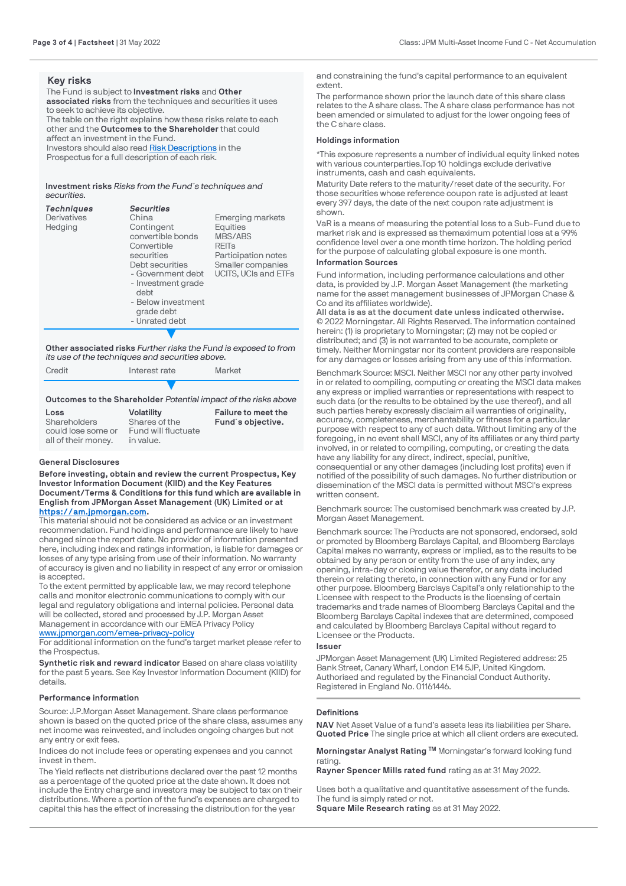## **Key risks**

The Fund is subject to **Investment risks** and **Other associated risks** from the techniques and securities it uses to seek to achieve its objective. The table on the right explains how these risks relate to each other and the **Outcomes to the Shareholder** that could affect an investment in the Fund. Investors should also read [Risk Descriptions](https://am.jpmorgan.com/gb/en/asset-management/adv/products/fund-explorer/oeics) in the

Prospectus for a full description of each risk.

**Investment risks** *Risks from the Fund´s techniques and securities.*

| <b>Techniques</b>  | <b>Securities</b>                                                                                                                                                                        |                                                                                                  |
|--------------------|------------------------------------------------------------------------------------------------------------------------------------------------------------------------------------------|--------------------------------------------------------------------------------------------------|
| <b>Derivatives</b> | China                                                                                                                                                                                    | <b>Emerging markets</b>                                                                          |
| Hedging            | Contingent<br>convertible bonds<br>Convertible<br>securities<br>Debt securities<br>- Government debt<br>- Investment grade<br>debt<br>- Below investment<br>grade debt<br>- Unrated debt | Equities<br>MBS/ABS<br>REITS<br>Participation notes<br>Smaller companies<br>UCITS. UCIs and ETFs |
|                    |                                                                                                                                                                                          |                                                                                                  |

**Other associated risks** *Further risks the Fund is exposed to from its use of the techniques and securities above.*

Credit Interest rate Market ▼

**Outcomes to the Shareholder** *Potential impact of the risks above*

| Loss                               | <b>Volatility</b>                    | Failure to meet the |
|------------------------------------|--------------------------------------|---------------------|
| Shareholders<br>could lose some or | Shares of the<br>Fund will fluctuate | Fund's objective.   |
| all of their money.                | in value.                            |                     |

## **General Disclosures**

**Before investing, obtain and review the current Prospectus, Key Investor Information Document (KIID) and the Key Features Document/Terms & Conditions for this fund which are available in English from JPMorgan Asset Management (UK) Limited or at [https://am.jpmorgan.com](https://am.jpmorgan.com/).** 

This material should not be considered as advice or an investment recommendation. Fund holdings and performance are likely to have changed since the report date. No provider of information presented here, including index and ratings information, is liable for damages or losses of any type arising from use of their information. No warranty of accuracy is given and no liability in respect of any error or omission is accepted.

To the extent permitted by applicable law, we may record telephone calls and monitor electronic communications to comply with our legal and regulatory obligations and internal policies. Personal data will be collected, stored and processed by J.P. Morgan Asset Management in accordance with our EMEA Privacy Policy

[www.jpmorgan.com/emea-privacy-policy](https://www.jpmorgan.com/emea-privacy-policy)

For additional information on the fund's target market please refer to the Prospectus.

**Synthetic risk and reward indicator** Based on share class volatility for the past 5 years. See Key Investor Information Document (KIID) for details.

## **Performance information**

Source: J.P.Morgan Asset Management. Share class performance shown is based on the quoted price of the share class, assumes any net income was reinvested, and includes ongoing charges but not any entry or exit fees.

Indices do not include fees or operating expenses and you cannot invest in them.

The Yield reflects net distributions declared over the past 12 months as a percentage of the quoted price at the date shown. It does not include the Entry charge and investors may be subject to tax on their distributions. Where a portion of the fund's expenses are charged to capital this has the effect of increasing the distribution for the year

and constraining the fund's capital performance to an equivalent extent.

The performance shown prior the launch date of this share class relates to the A share class. The A share class performance has not been amended or simulated to adjust for the lower ongoing fees of the C share class.

## **Holdings information**

\*This exposure represents a number of individual equity linked notes with various counterparties.Top 10 holdings exclude derivative instruments, cash and cash equivalents.

Maturity Date refers to the maturity/reset date of the security. For those securities whose reference coupon rate is adjusted at least [every 397 days, the date of th](https://am.jpmorgan.com/)e next coupon rate adjustment is shown.

VaR is a means of measuring the potential loss to a Sub-Fund due to market risk and is expressed as themaximum potential loss at a 99% confidence level over a one month time horizon. The holding period for the purpose of calculating global exposure is one month.

# **Information Sources**

Fund information, including performance calculations and other data, is provided by J.P. Morgan Asset Management (the marketing name for the asset management businesses of JPMorgan Chase & Co and its affiliates worldwide).

**All data is as at the document date unless indicated otherwise.** © 2022 Morningstar. All Rights Reserved. The information contained [herein: \(1\) is proprietary to Morningstar; \(2](https://www.jpmorgan.com/emea-privacy-policy)) may not be copied or distributed; and (3) is not warranted to be accurate, complete or timely. Neither Morningstar nor its content providers are responsible for any damages or losses arising from any use of this information.

Benchmark Source: MSCI. Neither MSCI nor any other party involved in or related to compiling, computing or creating the MSCI data makes any express or implied warranties or representations with respect to such data (or the results to be obtained by the use thereof), and all such parties hereby expressly disclaim all warranties of originality, accuracy, completeness, merchantability or fitness for a particular purpose with respect to any of such data. Without limiting any of the foregoing, in no event shall MSCI, any of its affiliates or any third party involved, in or related to compiling, computing, or creating the data have any liability for any direct, indirect, special, punitive, consequential or any other damages (including lost profits) even if notified of the possibility of such damages. No further distribution or dissemination of the MSCI data is permitted without MSCI's express written consent.

Benchmark source: The customised benchmark was created by J.P. Morgan Asset Management.

Benchmark source: The Products are not sponsored, endorsed, sold or promoted by Bloomberg Barclays Capital, and Bloomberg Barclays Capital makes no warranty, express or implied, as to the results to be obtained by any person or entity from the use of any index, any opening, intra-day or closing value therefor, or any data included therein or relating thereto, in connection with any Fund or for any other purpose. Bloomberg Barclays Capital's only relationship to the Licensee with respect to the Products is the licensing of certain trademarks and trade names of Bloomberg Barclays Capital and the Bloomberg Barclays Capital indexes that are determined, composed and calculated by Bloomberg Barclays Capital without regard to Licensee or the Products.

#### **Issuer**

JPMorgan Asset Management (UK) Limited Registered address: 25 Bank Street, Canary Wharf, London E14 5JP, United Kingdom. Authorised and regulated by the Financial Conduct Authority. Registered in England No. 01161446.

## **Definitions**

**NAV** Net Asset Value of a fund's assets less its liabilities per Share. **Quoted Price** The single price at which all client orders are executed.

**Morningstar Analyst Rating ™** Morningstar's forward looking fund rating.

**Rayner Spencer Mills rated fund** rating as at 31 May 2022.

Uses both a qualitative and quantitative assessment of the funds. The fund is simply rated or not. **Square Mile Research rating** as at 31 May 2022.